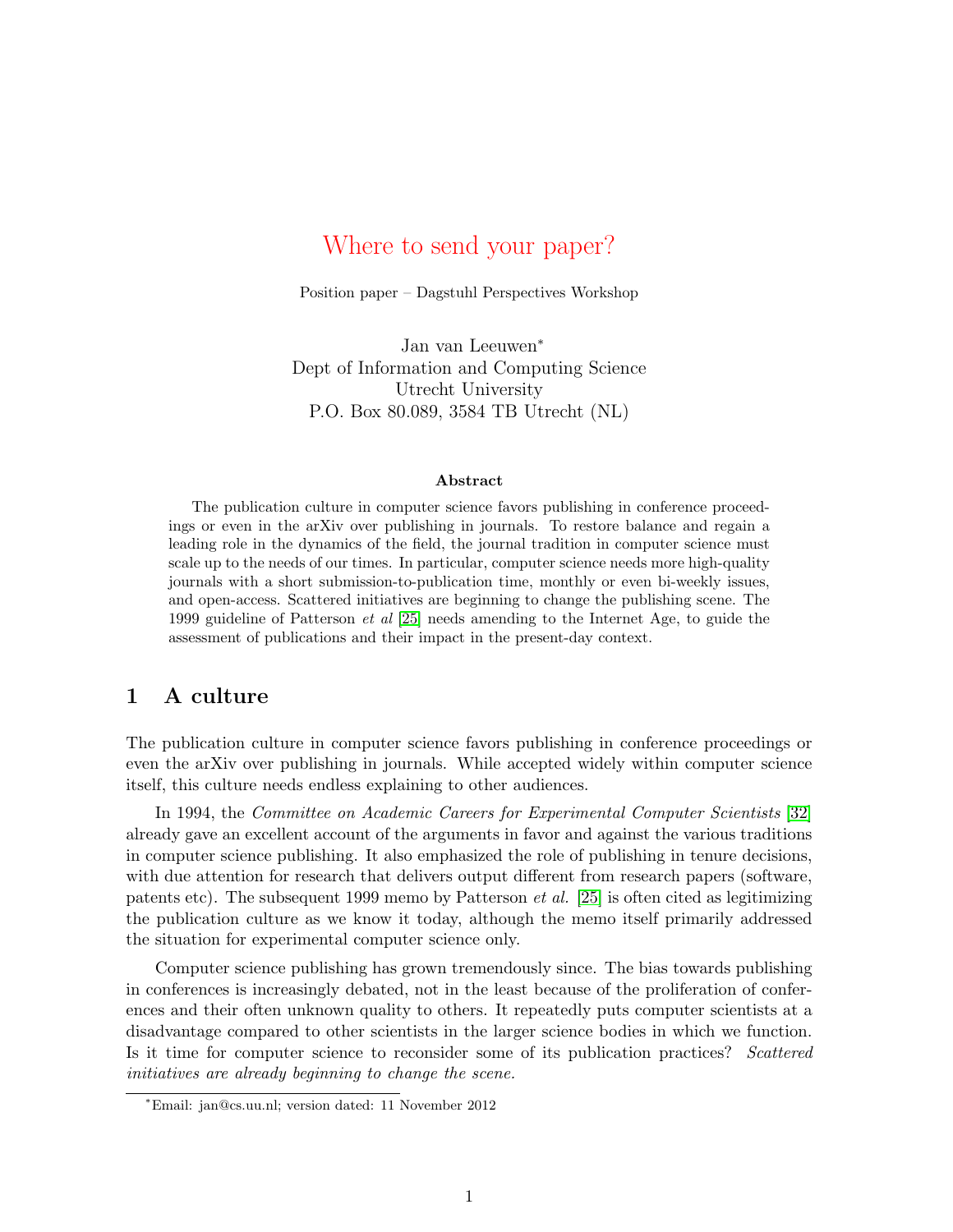# Where to send your paper?

Position paper – Dagstuhl Perspectives Workshop

Jan van Leeuwen<sup>∗</sup> Dept of Information and Computing Science Utrecht University P.O. Box 80.089, 3584 TB Utrecht (NL)

#### **Abstract**

The publication culture in computer science favors publishing in conference proceedings or even in the arXiv over publishing in journals. To restore balance and regain a leading role in the dynamics of the field, the journal tradition in computer science must scale up to the needs of our times. In particular, computer science needs more high-quality journals with a short submission-to-publication time, monthly or even bi-weekly issues, and open-access. Scattered initiatives are beginning to change the publishing scene. The 1999 guideline of Patterson *et al* [\[25\]](#page-7-0) needs amending to the Internet Age, to guide the assessment of publications and their impact in the present-day context.

## **1 A culture**

The publication culture in computer science favors publishing in conference proceedings or even the arXiv over publishing in journals. While accepted widely within computer science itself, this culture needs endless explaining to other audiences.

In 1994, the *Committee on Academic Careers for Experimental Computer Scientists* [\[32\]](#page-8-0) already gave an excellent account of the arguments in favor and against the various traditions in computer science publishing. It also emphasized the role of publishing in tenure decisions, with due attention for research that delivers output different from research papers (software, patents etc). The subsequent 1999 memo by Patterson *et al.* [\[25\]](#page-7-0) is often cited as legitimizing the publication culture as we know it today, although the memo itself primarily addressed the situation for experimental computer science only.

Computer science publishing has grown tremendously since. The bias towards publishing in conferences is increasingly debated, not in the least because of the proliferation of conferences and their often unknown quality to others. It repeatedly puts computer scientists at a disadvantage compared to other scientists in the larger science bodies in which we function. Is it time for computer science to reconsider some of its publication practices? *Scattered initiatives are already beginning to change the scene.*

<sup>∗</sup>Email: jan@cs.uu.nl; version dated: 11 November 2012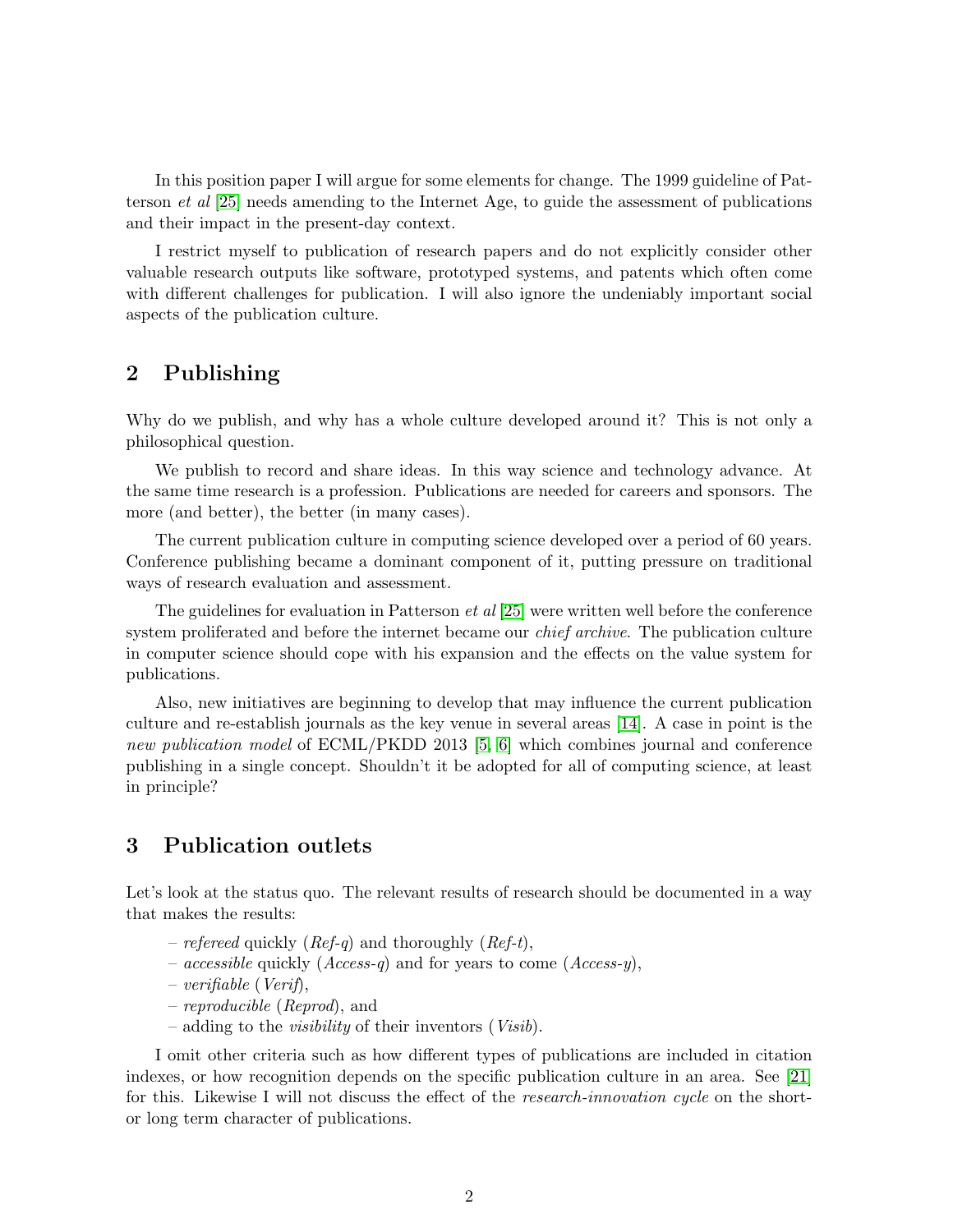In this position paper I will argue for some elements for change. The 1999 guideline of Patterson *et al* [\[25\]](#page-7-0) needs amending to the Internet Age, to guide the assessment of publications and their impact in the present-day context.

I restrict myself to publication of research papers and do not explicitly consider other valuable research outputs like software, prototyped systems, and patents which often come with different challenges for publication. I will also ignore the undeniably important social aspects of the publication culture.

## **2 Publishing**

Why do we publish, and why has a whole culture developed around it? This is not only a philosophical question.

We publish to record and share ideas. In this way science and technology advance. At the same time research is a profession. Publications are needed for careers and sponsors. The more (and better), the better (in many cases).

The current publication culture in computing science developed over a period of 60 years. Conference publishing became a dominant component of it, putting pressure on traditional ways of research evaluation and assessment.

The guidelines for evaluation in Patterson *et al* [\[25\]](#page-7-0) were written well before the conference system proliferated and before the internet became our *chief archive*. The publication culture in computer science should cope with his expansion and the effects on the value system for publications.

Also, new initiatives are beginning to develop that may influence the current publication culture and re-establish journals as the key venue in several areas [\[14\]](#page-7-1). A case in point is the *new publication model* of ECML/PKDD 2013 [\[5,](#page-7-2) [6\]](#page-7-3) which combines journal and conference publishing in a single concept. Shouldn't it be adopted for all of computing science, at least in principle?

## **3 Publication outlets**

Let's look at the status quo. The relevant results of research should be documented in a way that makes the results:

- *refereed* quickly (*Ref-q*) and thoroughly (*Ref-t*),
- *accessible* quickly (*Access-q*) and for years to come (*Access-y*),
- *verifiable* (*Verif*),
- *reproducible* (*Reprod*), and
- adding to the *visibility* of their inventors (*Visib*).

I omit other criteria such as how different types of publications are included in citation indexes, or how recognition depends on the specific publication culture in an area. See [\[21\]](#page-7-4) for this. Likewise I will not discuss the effect of the *research-innovation cycle* on the shortor long term character of publications.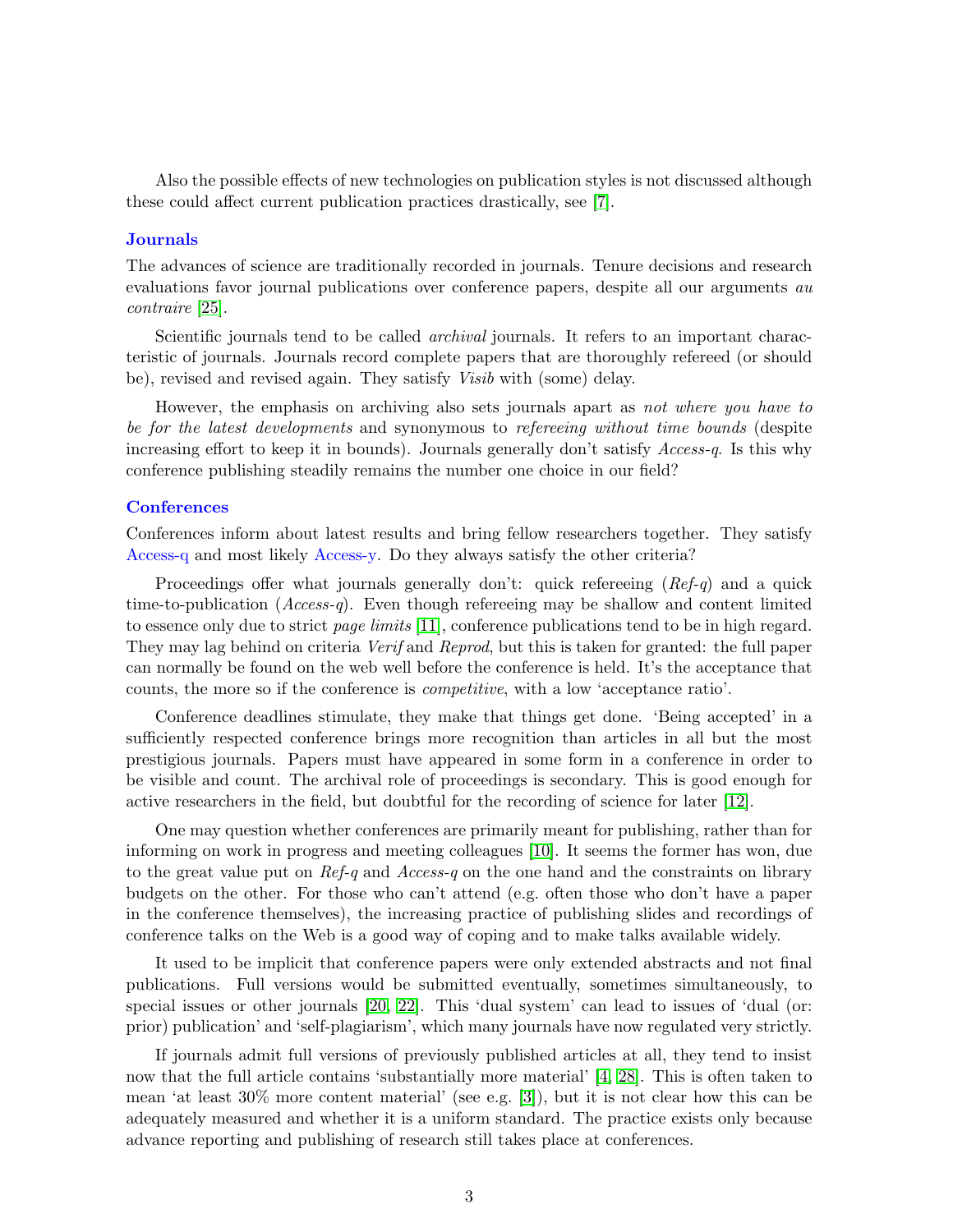Also the possible effects of new technologies on publication styles is not discussed although these could affect current publication practices drastically, see [\[7\]](#page-7-5).

### **Journals**

The advances of science are traditionally recorded in journals. Tenure decisions and research evaluations favor journal publications over conference papers, despite all our arguments *au contraire* [\[25\]](#page-7-0).

Scientific journals tend to be called *archival* journals. It refers to an important characteristic of journals. Journals record complete papers that are thoroughly refereed (or should be), revised and revised again. They satisfy *Visib* with (some) delay.

However, the emphasis on archiving also sets journals apart as *not where you have to be for the latest developments* and synonymous to *refereeing without time bounds* (despite increasing effort to keep it in bounds). Journals generally don't satisfy *Access-q*. Is this why conference publishing steadily remains the number one choice in our field?

#### **Conferences**

Conferences inform about latest results and bring fellow researchers together. They satisfy Access-q and most likely Access-y. Do they always satisfy the other criteria?

Proceedings offer what journals generally don't: quick refereeing (*Ref-q*) and a quick time-to-publication (*Access-q*). Even though refereeing may be shallow and content limited to essence only due to strict *page limits* [\[11\]](#page-7-6), conference publications tend to be in high regard. They may lag behind on criteria *Verif* and *Reprod*, but this is taken for granted: the full paper can normally be found on the web well before the conference is held. It's the acceptance that counts, the more so if the conference is *competitive*, with a low 'acceptance ratio'.

Conference deadlines stimulate, they make that things get done. 'Being accepted' in a sufficiently respected conference brings more recognition than articles in all but the most prestigious journals. Papers must have appeared in some form in a conference in order to be visible and count. The archival role of proceedings is secondary. This is good enough for active researchers in the field, but doubtful for the recording of science for later [\[12\]](#page-7-7).

One may question whether conferences are primarily meant for publishing, rather than for informing on work in progress and meeting colleagues [\[10\]](#page-7-8). It seems the former has won, due to the great value put on *Ref-q* and *Access-q* on the one hand and the constraints on library budgets on the other. For those who can't attend (e.g. often those who don't have a paper in the conference themselves), the increasing practice of publishing slides and recordings of conference talks on the Web is a good way of coping and to make talks available widely.

It used to be implicit that conference papers were only extended abstracts and not final publications. Full versions would be submitted eventually, sometimes simultaneously, to special issues or other journals [\[20,](#page-7-9) [22\]](#page-7-10). This 'dual system' can lead to issues of 'dual (or: prior) publication' and 'self-plagiarism', which many journals have now regulated very strictly.

If journals admit full versions of previously published articles at all, they tend to insist now that the full article contains 'substantially more material' [\[4,](#page-7-11) [28\]](#page-8-1). This is often taken to mean 'at least 30% more content material' (see e.g. [\[3\]](#page-7-12)), but it is not clear how this can be adequately measured and whether it is a uniform standard. The practice exists only because advance reporting and publishing of research still takes place at conferences.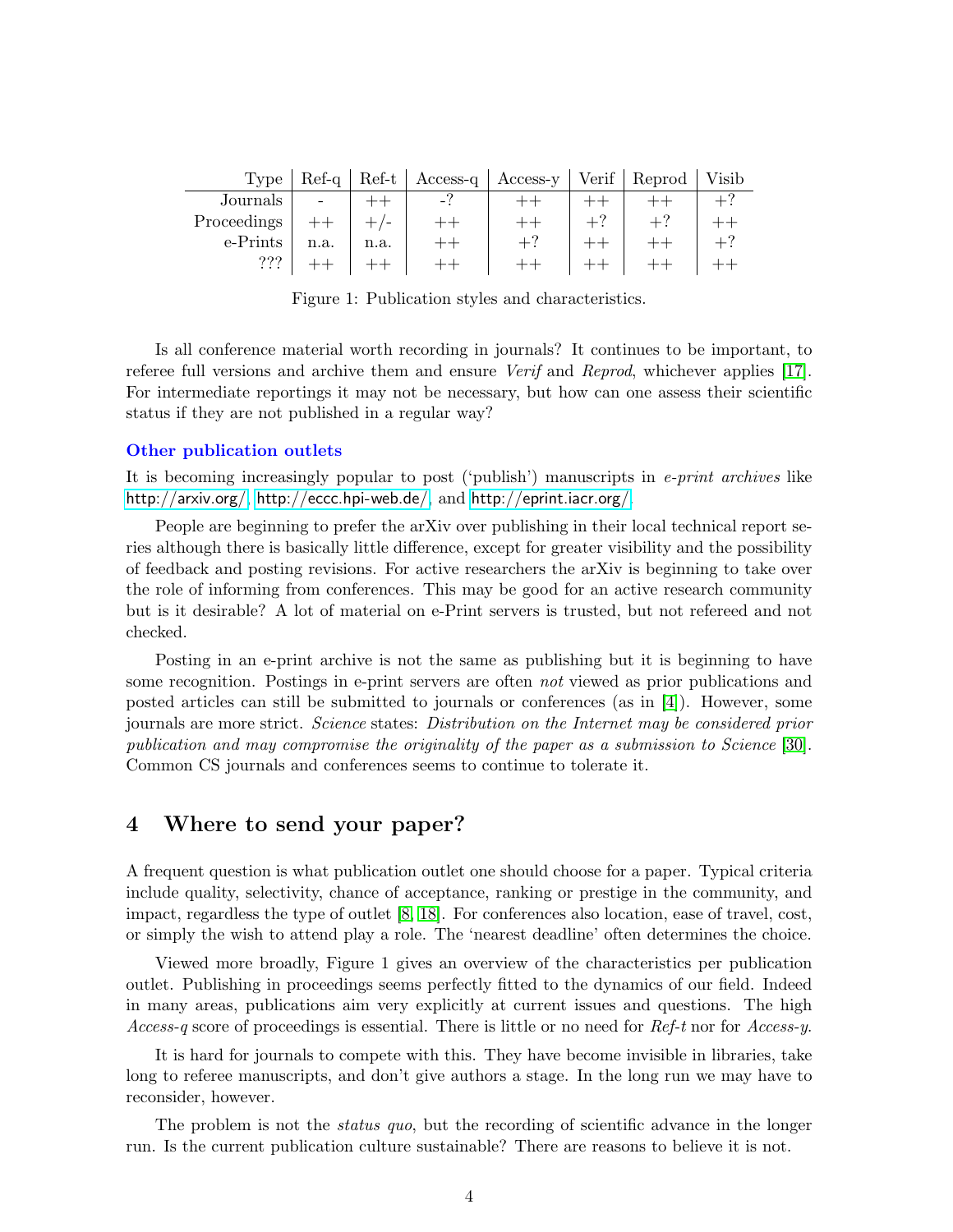|             |      |      | $Type   Ref-q   Ref-t   Access-q  $ | Access-y   Verif   Reprod   Visib |  |  |
|-------------|------|------|-------------------------------------|-----------------------------------|--|--|
| Journals    |      |      | -?                                  |                                   |  |  |
| Proceedings |      |      |                                     |                                   |  |  |
| e-Prints    | n.a. | n.a. |                                     |                                   |  |  |
| ???         |      |      |                                     |                                   |  |  |

Figure 1: Publication styles and characteristics.

Is all conference material worth recording in journals? It continues to be important, to referee full versions and archive them and ensure *Verif* and *Reprod*, whichever applies [\[17\]](#page-7-13). For intermediate reportings it may not be necessary, but how can one assess their scientific status if they are not published in a regular way?

### **Other publication outlets**

It is becoming increasingly popular to post ('publish') manuscripts in *e-print archives* like <http://arxiv.org/>, <http://eccc.hpi-web.de/>, and <http://eprint.iacr.org/>.

People are beginning to prefer the arXiv over publishing in their local technical report series although there is basically little difference, except for greater visibility and the possibility of feedback and posting revisions. For active researchers the arXiv is beginning to take over the role of informing from conferences. This may be good for an active research community but is it desirable? A lot of material on e-Print servers is trusted, but not refereed and not checked.

Posting in an e-print archive is not the same as publishing but it is beginning to have some recognition. Postings in e-print servers are often *not* viewed as prior publications and posted articles can still be submitted to journals or conferences (as in [\[4\]](#page-7-11)). However, some journals are more strict. *Science* states: *Distribution on the Internet may be considered prior publication and may compromise the originality of the paper as a submission to Science* [\[30\]](#page-8-2). Common CS journals and conferences seems to continue to tolerate it.

## **4 Where to send your paper?**

A frequent question is what publication outlet one should choose for a paper. Typical criteria include quality, selectivity, chance of acceptance, ranking or prestige in the community, and impact, regardless the type of outlet [\[8,](#page-7-14) [18\]](#page-7-15). For conferences also location, ease of travel, cost, or simply the wish to attend play a role. The 'nearest deadline' often determines the choice.

Viewed more broadly, Figure 1 gives an overview of the characteristics per publication outlet. Publishing in proceedings seems perfectly fitted to the dynamics of our field. Indeed in many areas, publications aim very explicitly at current issues and questions. The high *Access-q* score of proceedings is essential. There is little or no need for *Ref-t* nor for *Access-y*.

It is hard for journals to compete with this. They have become invisible in libraries, take long to referee manuscripts, and don't give authors a stage. In the long run we may have to reconsider, however.

The problem is not the *status quo*, but the recording of scientific advance in the longer run. Is the current publication culture sustainable? There are reasons to believe it is not.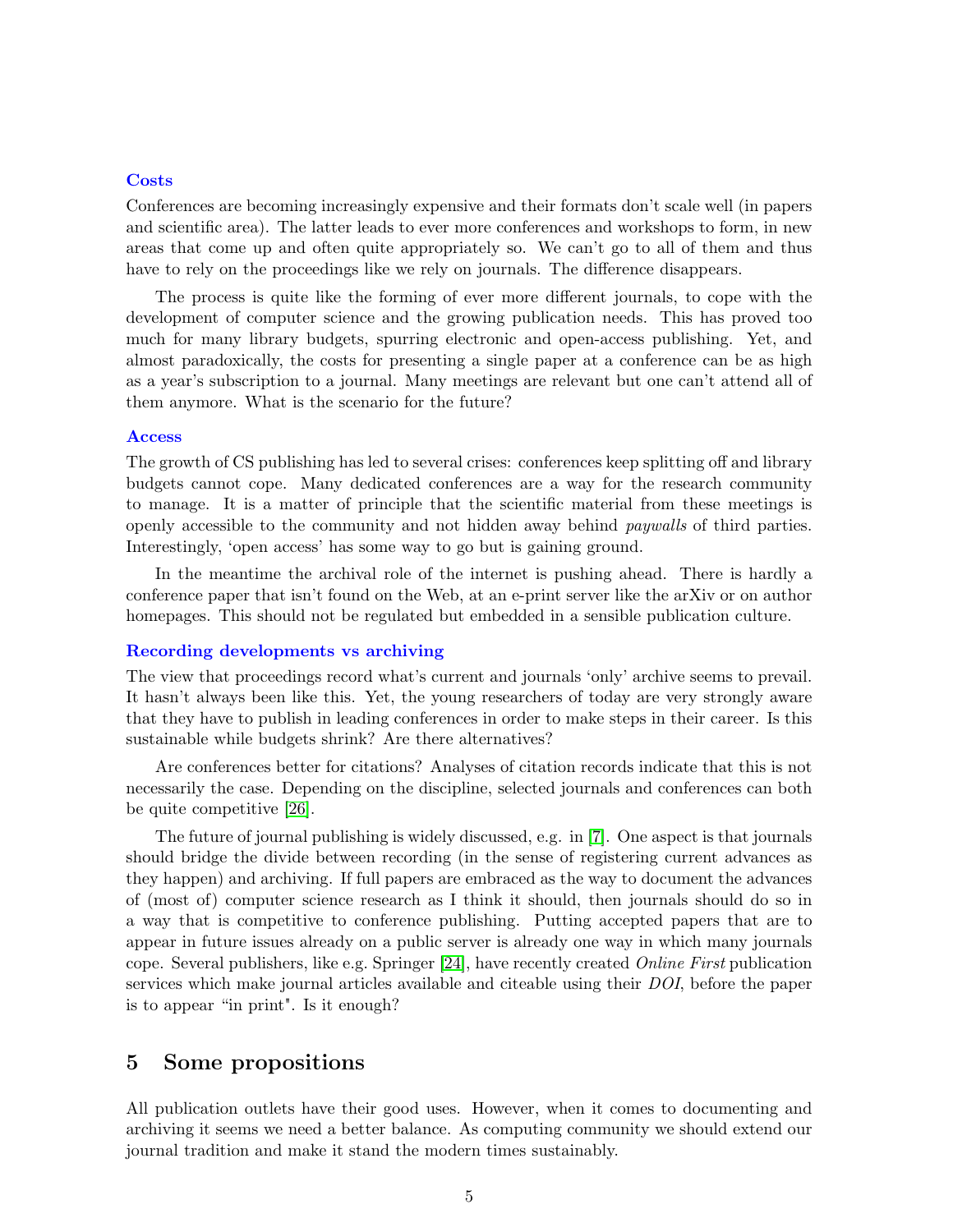### **Costs**

Conferences are becoming increasingly expensive and their formats don't scale well (in papers and scientific area). The latter leads to ever more conferences and workshops to form, in new areas that come up and often quite appropriately so. We can't go to all of them and thus have to rely on the proceedings like we rely on journals. The difference disappears.

The process is quite like the forming of ever more different journals, to cope with the development of computer science and the growing publication needs. This has proved too much for many library budgets, spurring electronic and open-access publishing. Yet, and almost paradoxically, the costs for presenting a single paper at a conference can be as high as a year's subscription to a journal. Many meetings are relevant but one can't attend all of them anymore. What is the scenario for the future?

### **Access**

The growth of CS publishing has led to several crises: conferences keep splitting off and library budgets cannot cope. Many dedicated conferences are a way for the research community to manage. It is a matter of principle that the scientific material from these meetings is openly accessible to the community and not hidden away behind *paywalls* of third parties. Interestingly, 'open access' has some way to go but is gaining ground.

In the meantime the archival role of the internet is pushing ahead. There is hardly a conference paper that isn't found on the Web, at an e-print server like the arXiv or on author homepages. This should not be regulated but embedded in a sensible publication culture.

### **Recording developments vs archiving**

The view that proceedings record what's current and journals 'only' archive seems to prevail. It hasn't always been like this. Yet, the young researchers of today are very strongly aware that they have to publish in leading conferences in order to make steps in their career. Is this sustainable while budgets shrink? Are there alternatives?

Are conferences better for citations? Analyses of citation records indicate that this is not necessarily the case. Depending on the discipline, selected journals and conferences can both be quite competitive [\[26\]](#page-8-3).

The future of journal publishing is widely discussed, e.g. in [\[7\]](#page-7-5). One aspect is that journals should bridge the divide between recording (in the sense of registering current advances as they happen) and archiving. If full papers are embraced as the way to document the advances of (most of) computer science research as I think it should, then journals should do so in a way that is competitive to conference publishing. Putting accepted papers that are to appear in future issues already on a public server is already one way in which many journals cope. Several publishers, like e.g. Springer [\[24\]](#page-7-16), have recently created *Online First* publication services which make journal articles available and citeable using their *DOI*, before the paper is to appear "in print". Is it enough?

## **5 Some propositions**

All publication outlets have their good uses. However, when it comes to documenting and archiving it seems we need a better balance. As computing community we should extend our journal tradition and make it stand the modern times sustainably.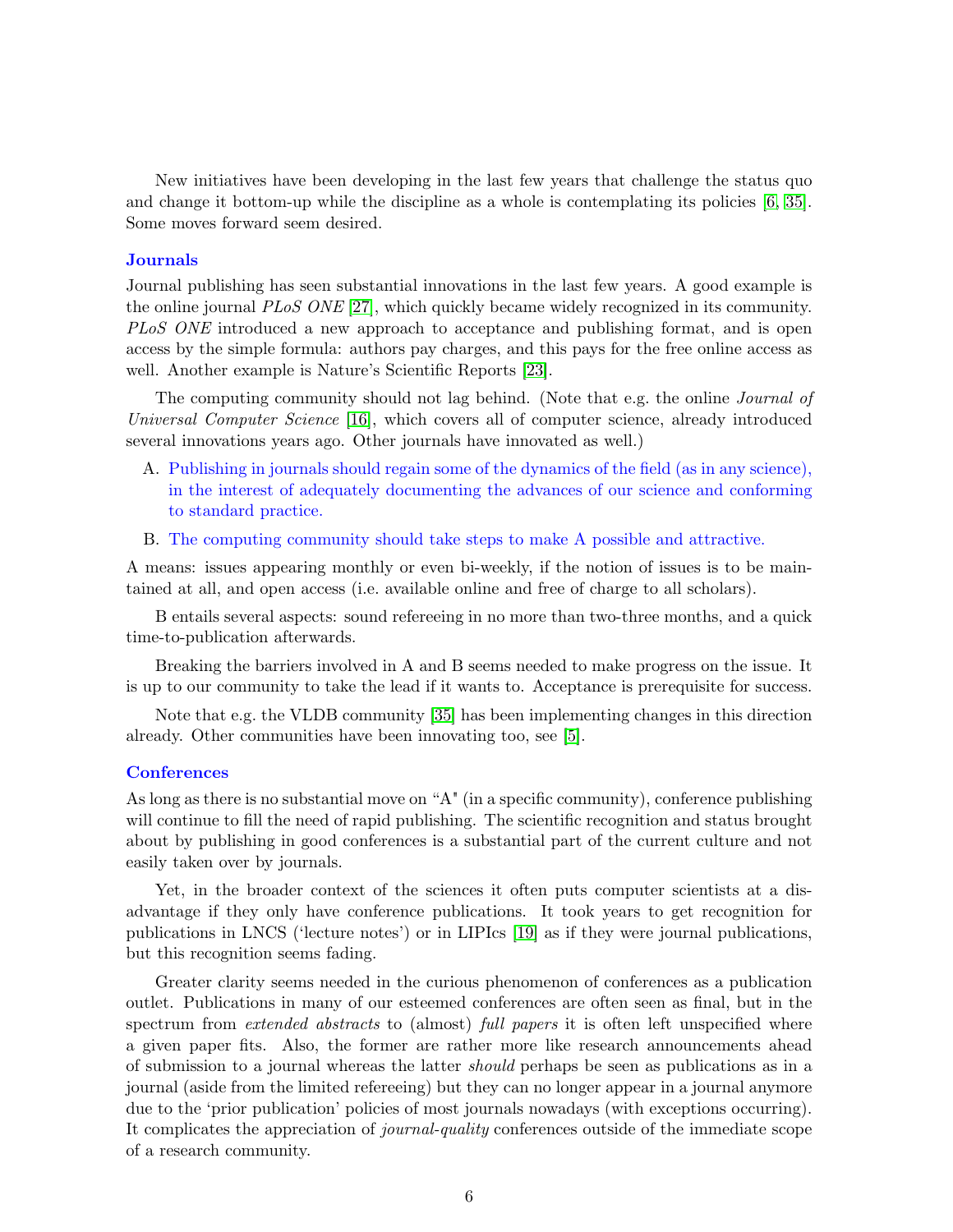New initiatives have been developing in the last few years that challenge the status quo and change it bottom-up while the discipline as a whole is contemplating its policies [\[6,](#page-7-3) [35\]](#page-8-4). Some moves forward seem desired.

### **Journals**

Journal publishing has seen substantial innovations in the last few years. A good example is the online journal *PLoS ONE* [\[27\]](#page-8-5), which quickly became widely recognized in its community. *PLoS ONE* introduced a new approach to acceptance and publishing format, and is open access by the simple formula: authors pay charges, and this pays for the free online access as well. Another example is Nature's Scientific Reports [\[23\]](#page-7-17).

The computing community should not lag behind. (Note that e.g. the online *Journal of Universal Computer Science* [\[16\]](#page-7-18), which covers all of computer science, already introduced several innovations years ago. Other journals have innovated as well.)

- A. Publishing in journals should regain some of the dynamics of the field (as in any science), in the interest of adequately documenting the advances of our science and conforming to standard practice.
- B. The computing community should take steps to make A possible and attractive.

A means: issues appearing monthly or even bi-weekly, if the notion of issues is to be maintained at all, and open access (i.e. available online and free of charge to all scholars).

B entails several aspects: sound refereeing in no more than two-three months, and a quick time-to-publication afterwards.

Breaking the barriers involved in A and B seems needed to make progress on the issue. It is up to our community to take the lead if it wants to. Acceptance is prerequisite for success.

Note that e.g. the VLDB community [\[35\]](#page-8-4) has been implementing changes in this direction already. Other communities have been innovating too, see [\[5\]](#page-7-2).

### **Conferences**

As long as there is no substantial move on "A" (in a specific community), conference publishing will continue to fill the need of rapid publishing. The scientific recognition and status brought about by publishing in good conferences is a substantial part of the current culture and not easily taken over by journals.

Yet, in the broader context of the sciences it often puts computer scientists at a disadvantage if they only have conference publications. It took years to get recognition for publications in LNCS ('lecture notes') or in LIPIcs [\[19\]](#page-7-19) as if they were journal publications, but this recognition seems fading.

Greater clarity seems needed in the curious phenomenon of conferences as a publication outlet. Publications in many of our esteemed conferences are often seen as final, but in the spectrum from *extended abstracts* to (almost) *full papers* it is often left unspecified where a given paper fits. Also, the former are rather more like research announcements ahead of submission to a journal whereas the latter *should* perhaps be seen as publications as in a journal (aside from the limited refereeing) but they can no longer appear in a journal anymore due to the 'prior publication' policies of most journals nowadays (with exceptions occurring). It complicates the appreciation of *journal-quality* conferences outside of the immediate scope of a research community.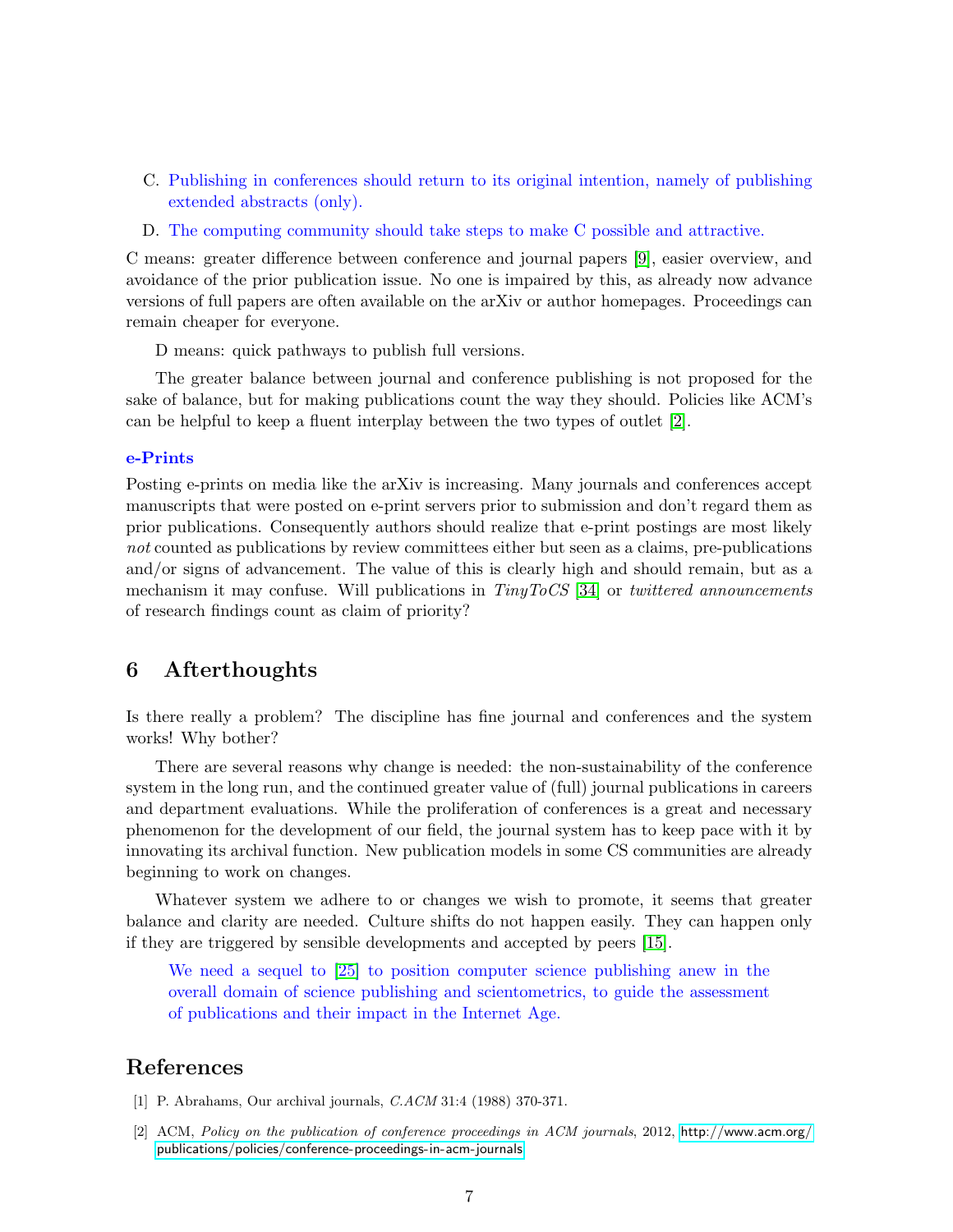- C. Publishing in conferences should return to its original intention, namely of publishing extended abstracts (only).
- D. The computing community should take steps to make C possible and attractive.

C means: greater difference between conference and journal papers [\[9\]](#page-7-20), easier overview, and avoidance of the prior publication issue. No one is impaired by this, as already now advance versions of full papers are often available on the arXiv or author homepages. Proceedings can remain cheaper for everyone.

D means: quick pathways to publish full versions.

The greater balance between journal and conference publishing is not proposed for the sake of balance, but for making publications count the way they should. Policies like ACM's can be helpful to keep a fluent interplay between the two types of outlet [\[2\]](#page-6-0).

### **e-Prints**

Posting e-prints on media like the arXiv is increasing. Many journals and conferences accept manuscripts that were posted on e-print servers prior to submission and don't regard them as prior publications. Consequently authors should realize that e-print postings are most likely *not* counted as publications by review committees either but seen as a claims, pre-publications and/or signs of advancement. The value of this is clearly high and should remain, but as a mechanism it may confuse. Will publications in *TinyToCS* [\[34\]](#page-8-6) or *twittered announcements* of research findings count as claim of priority?

## **6 Afterthoughts**

Is there really a problem? The discipline has fine journal and conferences and the system works! Why bother?

There are several reasons why change is needed: the non-sustainability of the conference system in the long run, and the continued greater value of (full) journal publications in careers and department evaluations. While the proliferation of conferences is a great and necessary phenomenon for the development of our field, the journal system has to keep pace with it by innovating its archival function. New publication models in some CS communities are already beginning to work on changes.

Whatever system we adhere to or changes we wish to promote, it seems that greater balance and clarity are needed. Culture shifts do not happen easily. They can happen only if they are triggered by sensible developments and accepted by peers [\[15\]](#page-7-21).

We need a sequel to [\[25\]](#page-7-0) to position computer science publishing anew in the overall domain of science publishing and scientometrics, to guide the assessment of publications and their impact in the Internet Age.

## **References**

- [1] P. Abrahams, Our archival journals, *C.ACM* 31:4 (1988) 370-371.
- <span id="page-6-0"></span>[2] ACM, *Policy on the publication of conference proceedings in ACM journals*, 2012, [http://www.acm.org/](http://www.acm.org/publications/policies/conference-proceedings-in-acm-journals) [publications/policies/conference-proceedings-in-acm-journals](http://www.acm.org/publications/policies/conference-proceedings-in-acm-journals).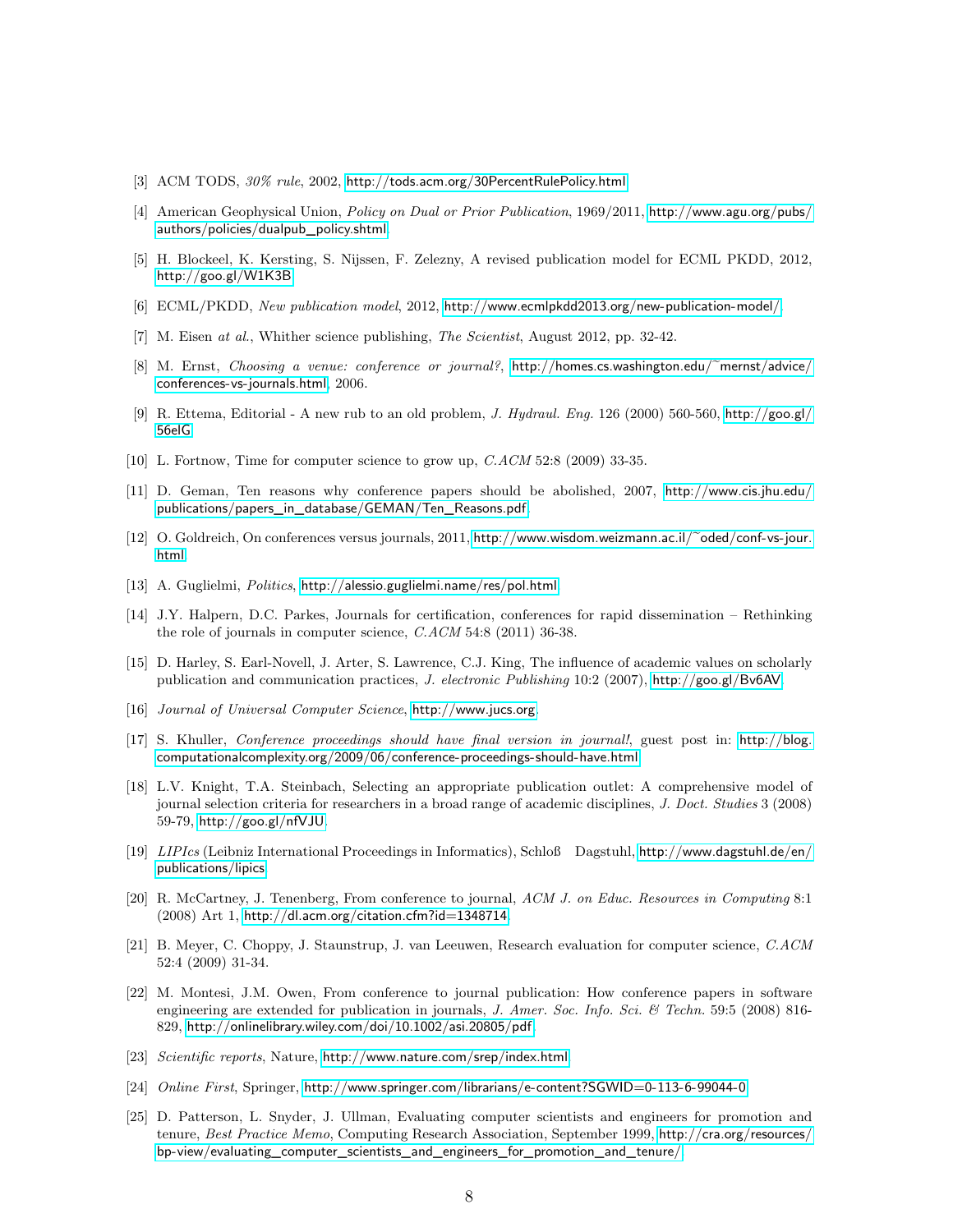- <span id="page-7-12"></span>[3] ACM TODS, *30% rule*, 2002, <http://tods.acm.org/30PercentRulePolicy.html>.
- <span id="page-7-11"></span>[4] American Geophysical Union, *Policy on Dual or Prior Publication*, 1969/2011, [http://www.agu.org/pubs/](http://www.agu.org/pubs/authors/policies/dualpub_policy.shtml) [authors/policies/dualpub\\_policy.shtml](http://www.agu.org/pubs/authors/policies/dualpub_policy.shtml).
- <span id="page-7-2"></span>[5] H. Blockeel, K. Kersting, S. Nijssen, F. Zelezny, A revised publication model for ECML PKDD, 2012, <http://goo.gl/W1K3B>.
- <span id="page-7-3"></span>[6] ECML/PKDD, *New publication model*, 2012, <http://www.ecmlpkdd2013.org/new-publication-model/>.
- <span id="page-7-5"></span>[7] M. Eisen *at al.*, Whither science publishing, *The Scientist*, August 2012, pp. 32-42.
- <span id="page-7-14"></span>[8] M. Ernst, *Choosing a venue: conference or journal?*, [http://homes.cs.washington.edu/~mernst/advice/](http://homes.cs.washington.edu/~mernst/advice/conferences-vs-journals.html) [conferences-vs-journals.html](http://homes.cs.washington.edu/~mernst/advice/conferences-vs-journals.html), 2006.
- <span id="page-7-20"></span>[9] R. Ettema, Editorial - A new rub to an old problem, *J. Hydraul. Eng.* 126 (2000) 560-560, [http://goo.gl/](http://goo.gl/56elG) [56elG](http://goo.gl/56elG).
- <span id="page-7-8"></span>[10] L. Fortnow, Time for computer science to grow up, *C.ACM* 52:8 (2009) 33-35.
- <span id="page-7-6"></span>[11] D. Geman, Ten reasons why conference papers should be abolished, 2007, [http://www.cis.jhu.edu/](http://www.cis.jhu.edu/publications/papers_in_database/GEMAN/Ten_Reasons.pdf) [publications/papers\\_in\\_database/GEMAN/Ten\\_Reasons.pdf](http://www.cis.jhu.edu/publications/papers_in_database/GEMAN/Ten_Reasons.pdf).
- <span id="page-7-7"></span>[12] O. Goldreich, On conferences versus journals, 2011, [http://www.wisdom.weizmann.ac.il/~oded/conf-vs-jour.](http://www.wisdom.weizmann.ac.il/~oded/conf-vs-jour.html) [html](http://www.wisdom.weizmann.ac.il/~oded/conf-vs-jour.html).
- [13] A. Guglielmi, *Politics*, <http://alessio.guglielmi.name/res/pol.html>.
- <span id="page-7-1"></span>[14] J.Y. Halpern, D.C. Parkes, Journals for certification, conferences for rapid dissemination – Rethinking the role of journals in computer science, *C.ACM* 54:8 (2011) 36-38.
- <span id="page-7-21"></span>[15] D. Harley, S. Earl-Novell, J. Arter, S. Lawrence, C.J. King, The influence of academic values on scholarly publication and communication practices, *J. electronic Publishing* 10:2 (2007), <http://goo.gl/Bv6AV>.
- <span id="page-7-18"></span>[16] *Journal of Universal Computer Science*, <http://www.jucs.org>.
- <span id="page-7-13"></span>[17] S. Khuller, *Conference proceedings should have final version in journal!*, guest post in: [http://blog.](http://blog.computationalcomplexity.org/2009/06/conference-proceedings-should-have.html) [computationalcomplexity.org/2009/06/conference-proceedings-should-have.html](http://blog.computationalcomplexity.org/2009/06/conference-proceedings-should-have.html).
- <span id="page-7-15"></span>[18] L.V. Knight, T.A. Steinbach, Selecting an appropriate publication outlet: A comprehensive model of journal selection criteria for researchers in a broad range of academic disciplines, *J. Doct. Studies* 3 (2008) 59-79, <http://goo.gl/nfVJU>.
- <span id="page-7-19"></span>[19] *LIPIcs* (Leibniz International Proceedings in Informatics), Schloß Dagstuhl, [http://www.dagstuhl.de/en/](http://www.dagstuhl.de/en/publications/lipics) [publications/lipics](http://www.dagstuhl.de/en/publications/lipics).
- <span id="page-7-9"></span>[20] R. McCartney, J. Tenenberg, From conference to journal, *ACM J. on Educ. Resources in Computing* 8:1 (2008) Art 1, <http://dl.acm.org/citation.cfm?id=1348714>.
- <span id="page-7-4"></span>[21] B. Meyer, C. Choppy, J. Staunstrup, J. van Leeuwen, Research evaluation for computer science, *C.ACM* 52:4 (2009) 31-34.
- <span id="page-7-10"></span>[22] M. Montesi, J.M. Owen, From conference to journal publication: How conference papers in software engineering are extended for publication in journals, *J. Amer. Soc. Info. Sci. & Techn.* 59:5 (2008) 816- 829, <http://onlinelibrary.wiley.com/doi/10.1002/asi.20805/pdf>.
- <span id="page-7-17"></span>[23] *Scientific reports*, Nature, <http://www.nature.com/srep/index.html>.
- <span id="page-7-16"></span>[24] *Online First*, Springer, <http://www.springer.com/librarians/e-content?SGWID=0-113-6-99044-0>.
- <span id="page-7-0"></span>[25] D. Patterson, L. Snyder, J. Ullman, Evaluating computer scientists and engineers for promotion and tenure, *Best Practice Memo*, Computing Research Association, September 1999, [http://cra.org/resources/](http://cra.org/resources/bp-view/evaluating_computer_scientists_and_engineers_for_promotion_and_tenure/) [bp-view/evaluating\\_computer\\_scientists\\_and\\_engineers\\_for\\_promotion\\_and\\_tenure/](http://cra.org/resources/bp-view/evaluating_computer_scientists_and_engineers_for_promotion_and_tenure/).